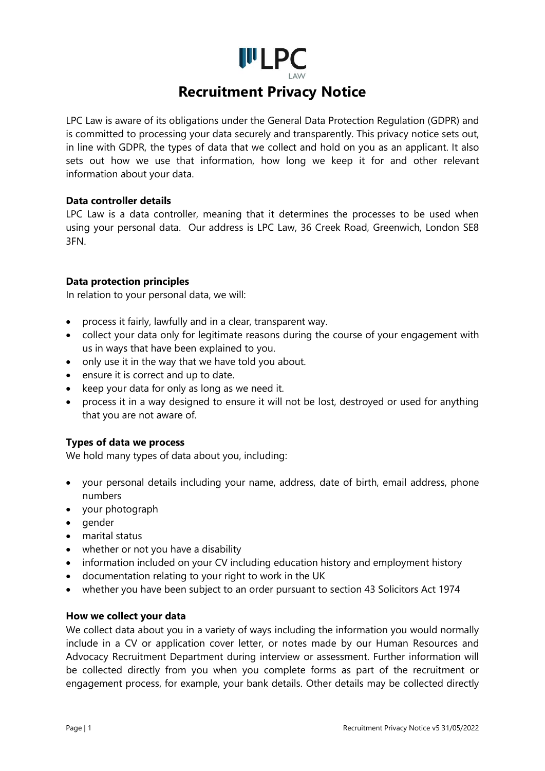

LPC Law is aware of its obligations under the General Data Protection Regulation (GDPR) and is committed to processing your data securely and transparently. This privacy notice sets out, in line with GDPR, the types of data that we collect and hold on you as an applicant. It also sets out how we use that information, how long we keep it for and other relevant information about your data.

### **Data controller details**

LPC Law is a data controller, meaning that it determines the processes to be used when using your personal data. Our address is LPC Law, 36 Creek Road, Greenwich, London SE8 3FN.

### **Data protection principles**

In relation to your personal data, we will:

- process it fairly, lawfully and in a clear, transparent way.
- collect your data only for legitimate reasons during the course of your engagement with us in ways that have been explained to you.
- only use it in the way that we have told you about.
- ensure it is correct and up to date.
- keep your data for only as long as we need it.
- process it in a way designed to ensure it will not be lost, destroyed or used for anything that you are not aware of.

# **Types of data we process**

We hold many types of data about you, including:

- your personal details including your name, address, date of birth, email address, phone numbers
- your photograph
- gender
- marital status
- whether or not you have a disability
- information included on your CV including education history and employment history
- documentation relating to your right to work in the UK
- whether you have been subject to an order pursuant to section 43 Solicitors Act 1974

### **How we collect your data**

We collect data about you in a variety of ways including the information you would normally include in a CV or application cover letter, or notes made by our Human Resources and Advocacy Recruitment Department during interview or assessment. Further information will be collected directly from you when you complete forms as part of the recruitment or engagement process, for example, your bank details. Other details may be collected directly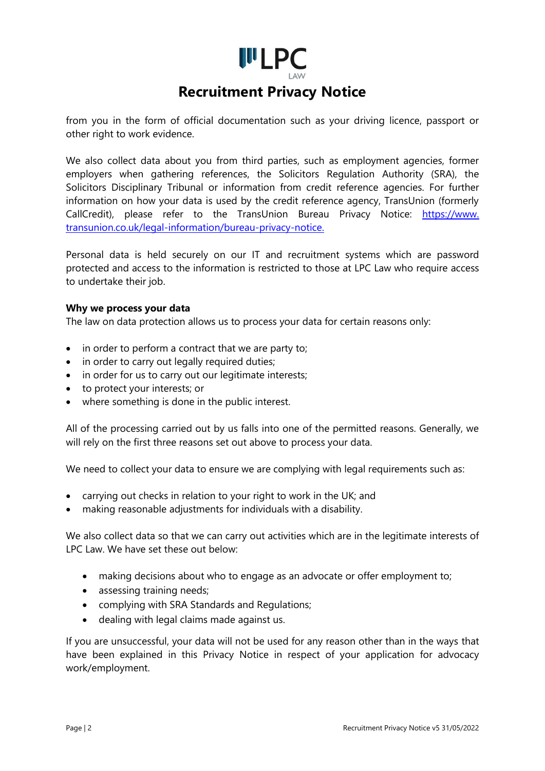

from you in the form of official documentation such as your driving licence, passport or other right to work evidence.

We also collect data about you from third parties, such as employment agencies, former employers when gathering references, the Solicitors Regulation Authority (SRA), the Solicitors Disciplinary Tribunal or information from credit reference agencies. For further information on how your data is used by the credit reference agency, TransUnion (formerly CallCredit), please refer to the TransUnion Bureau Privacy Notice: https://www. transunion.co.uk/legal-information/bureau-privacy-notice.

Personal data is held securely on our IT and recruitment systems which are password protected and access to the information is restricted to those at LPC Law who require access to undertake their job.

### **Why we process your data**

The law on data protection allows us to process your data for certain reasons only:

- in order to perform a contract that we are party to;
- in order to carry out legally required duties;
- in order for us to carry out our legitimate interests;
- to protect your interests; or
- where something is done in the public interest.

All of the processing carried out by us falls into one of the permitted reasons. Generally, we will rely on the first three reasons set out above to process your data.

We need to collect your data to ensure we are complying with legal requirements such as:

- carrying out checks in relation to your right to work in the UK; and
- making reasonable adjustments for individuals with a disability.

We also collect data so that we can carry out activities which are in the legitimate interests of LPC Law. We have set these out below:

- making decisions about who to engage as an advocate or offer employment to;
- assessing training needs:
- complying with SRA Standards and Regulations;
- dealing with legal claims made against us.

If you are unsuccessful, your data will not be used for any reason other than in the ways that have been explained in this Privacy Notice in respect of your application for advocacy work/employment.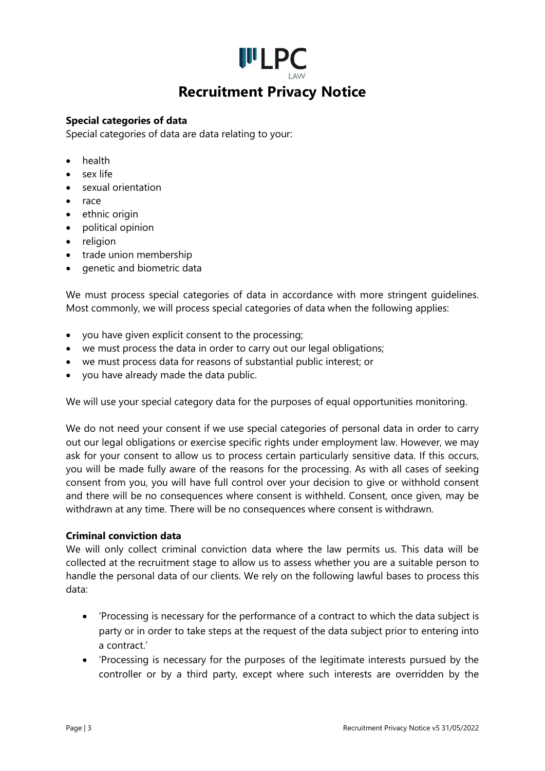# **I**II<sub>LPC</sub> **Recruitment Privacy Notice**

### **Special categories of data**

Special categories of data are data relating to your:

- health
- sex life
- sexual orientation
- race
- ethnic origin
- political opinion
- religion
- trade union membership
- genetic and biometric data

We must process special categories of data in accordance with more stringent guidelines. Most commonly, we will process special categories of data when the following applies:

- you have given explicit consent to the processing;
- we must process the data in order to carry out our legal obligations;
- we must process data for reasons of substantial public interest; or
- you have already made the data public.

We will use your special category data for the purposes of equal opportunities monitoring.

We do not need your consent if we use special categories of personal data in order to carry out our legal obligations or exercise specific rights under employment law. However, we may ask for your consent to allow us to process certain particularly sensitive data. If this occurs, you will be made fully aware of the reasons for the processing. As with all cases of seeking consent from you, you will have full control over your decision to give or withhold consent and there will be no consequences where consent is withheld. Consent, once given, may be withdrawn at any time. There will be no consequences where consent is withdrawn.

### **Criminal conviction data**

We will only collect criminal conviction data where the law permits us. This data will be collected at the recruitment stage to allow us to assess whether you are a suitable person to handle the personal data of our clients. We rely on the following lawful bases to process this data:

- 'Processing is necessary for the performance of a contract to which the data subject is party or in order to take steps at the request of the data subject prior to entering into a contract.'
- 'Processing is necessary for the purposes of the legitimate interests pursued by the controller or by a third party, except where such interests are overridden by the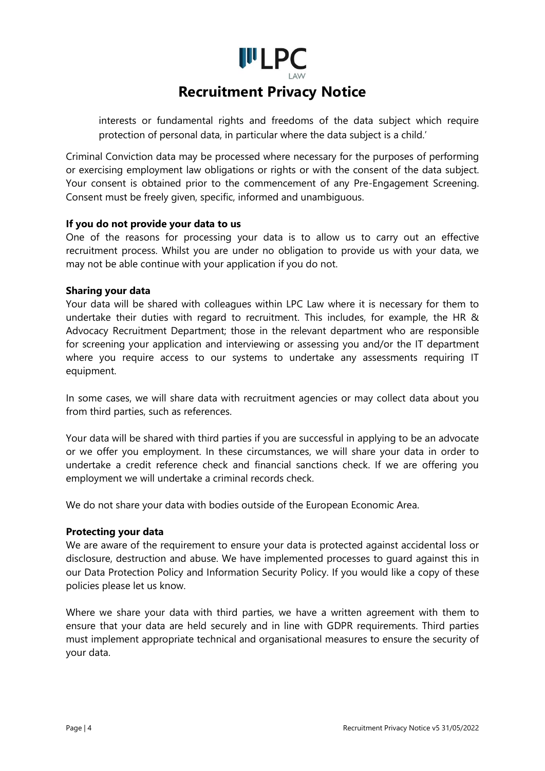

interests or fundamental rights and freedoms of the data subject which require protection of personal data, in particular where the data subject is a child.'

Criminal Conviction data may be processed where necessary for the purposes of performing or exercising employment law obligations or rights or with the consent of the data subject. Your consent is obtained prior to the commencement of any Pre-Engagement Screening. Consent must be freely given, specific, informed and unambiguous.

### **If you do not provide your data to us**

One of the reasons for processing your data is to allow us to carry out an effective recruitment process. Whilst you are under no obligation to provide us with your data, we may not be able continue with your application if you do not.

### **Sharing your data**

Your data will be shared with colleagues within LPC Law where it is necessary for them to undertake their duties with regard to recruitment. This includes, for example, the HR & Advocacy Recruitment Department; those in the relevant department who are responsible for screening your application and interviewing or assessing you and/or the IT department where you require access to our systems to undertake any assessments requiring IT equipment.

In some cases, we will share data with recruitment agencies or may collect data about you from third parties, such as references.

Your data will be shared with third parties if you are successful in applying to be an advocate or we offer you employment. In these circumstances, we will share your data in order to undertake a credit reference check and financial sanctions check. If we are offering you employment we will undertake a criminal records check.

We do not share your data with bodies outside of the European Economic Area.

### **Protecting your data**

We are aware of the requirement to ensure your data is protected against accidental loss or disclosure, destruction and abuse. We have implemented processes to guard against this in our Data Protection Policy and Information Security Policy. If you would like a copy of these policies please let us know.

Where we share your data with third parties, we have a written agreement with them to ensure that your data are held securely and in line with GDPR requirements. Third parties must implement appropriate technical and organisational measures to ensure the security of your data.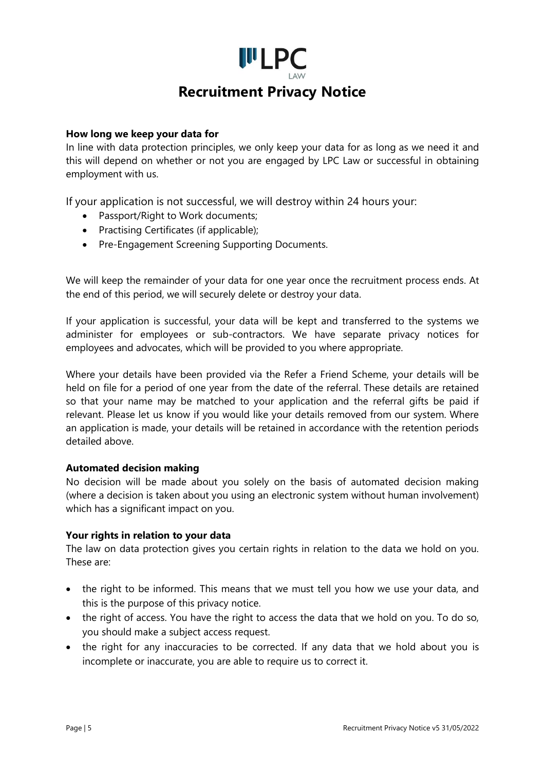

### **How long we keep your data for**

In line with data protection principles, we only keep your data for as long as we need it and this will depend on whether or not you are engaged by LPC Law or successful in obtaining employment with us.

If your application is not successful, we will destroy within 24 hours your:

- Passport/Right to Work documents;
- Practising Certificates (if applicable);
- Pre-Engagement Screening Supporting Documents.

We will keep the remainder of your data for one year once the recruitment process ends. At the end of this period, we will securely delete or destroy your data.

If your application is successful, your data will be kept and transferred to the systems we administer for employees or sub-contractors. We have separate privacy notices for employees and advocates, which will be provided to you where appropriate.

Where your details have been provided via the Refer a Friend Scheme, your details will be held on file for a period of one year from the date of the referral. These details are retained so that your name may be matched to your application and the referral gifts be paid if relevant. Please let us know if you would like your details removed from our system. Where an application is made, your details will be retained in accordance with the retention periods detailed above.

### **Automated decision making**

No decision will be made about you solely on the basis of automated decision making (where a decision is taken about you using an electronic system without human involvement) which has a significant impact on you.

### **Your rights in relation to your data**

The law on data protection gives you certain rights in relation to the data we hold on you. These are:

- the right to be informed. This means that we must tell you how we use your data, and this is the purpose of this privacy notice.
- the right of access. You have the right to access the data that we hold on you. To do so, you should make a subject access request.
- the right for any inaccuracies to be corrected. If any data that we hold about you is incomplete or inaccurate, you are able to require us to correct it.